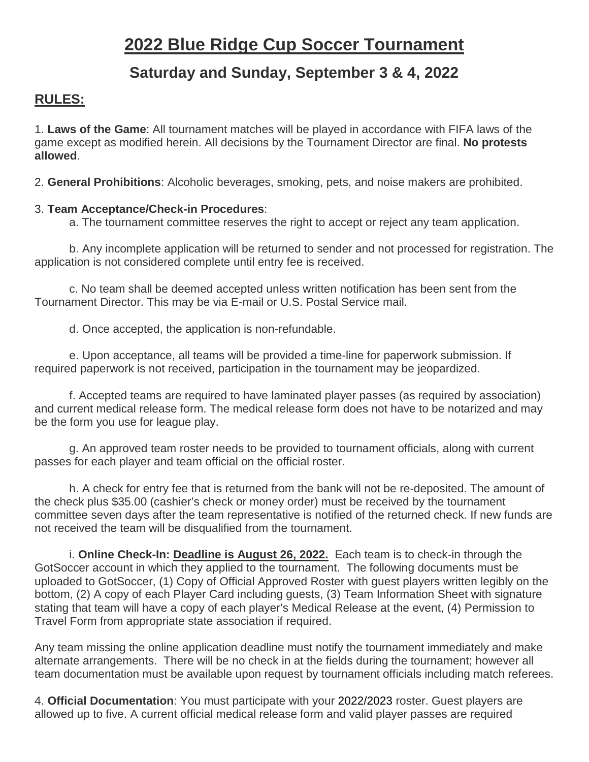# **Saturday and Sunday, September 3 & 4, 2022**

## **RULES:**

1. **Laws of the Game**: All tournament matches will be played in accordance with FIFA laws of the game except as modified herein. All decisions by the Tournament Director are final. **No protests allowed**.

2. **General Prohibitions**: Alcoholic beverages, smoking, pets, and noise makers are prohibited.

### 3. **Team Acceptance/Check-in Procedures**:

a. The tournament committee reserves the right to accept or reject any team application.

b. Any incomplete application will be returned to sender and not processed for registration. The application is not considered complete until entry fee is received.

c. No team shall be deemed accepted unless written notification has been sent from the Tournament Director. This may be via E-mail or U.S. Postal Service mail.

d. Once accepted, the application is non-refundable.

e. Upon acceptance, all teams will be provided a time-line for paperwork submission. If required paperwork is not received, participation in the tournament may be jeopardized.

f. Accepted teams are required to have laminated player passes (as required by association) and current medical release form. The medical release form does not have to be notarized and may be the form you use for league play.

g. An approved team roster needs to be provided to tournament officials, along with current passes for each player and team official on the official roster.

h. A check for entry fee that is returned from the bank will not be re-deposited. The amount of the check plus \$35.00 (cashier's check or money order) must be received by the tournament committee seven days after the team representative is notified of the returned check. If new funds are not received the team will be disqualified from the tournament.

i. **Online Check-In: Deadline is August 26, 2022.** Each team is to check-in through the GotSoccer account in which they applied to the tournament. The following documents must be uploaded to GotSoccer, (1) Copy of Official Approved Roster with guest players written legibly on the bottom, (2) A copy of each Player Card including guests, (3) Team Information Sheet with signature stating that team will have a copy of each player's Medical Release at the event, (4) Permission to Travel Form from appropriate state association if required.

Any team missing the online application deadline must notify the tournament immediately and make alternate arrangements. There will be no check in at the fields during the tournament; however all team documentation must be available upon request by tournament officials including match referees.

4. **Official Documentation**: You must participate with your 2022/2023 roster. Guest players are allowed up to five. A current official medical release form and valid player passes are required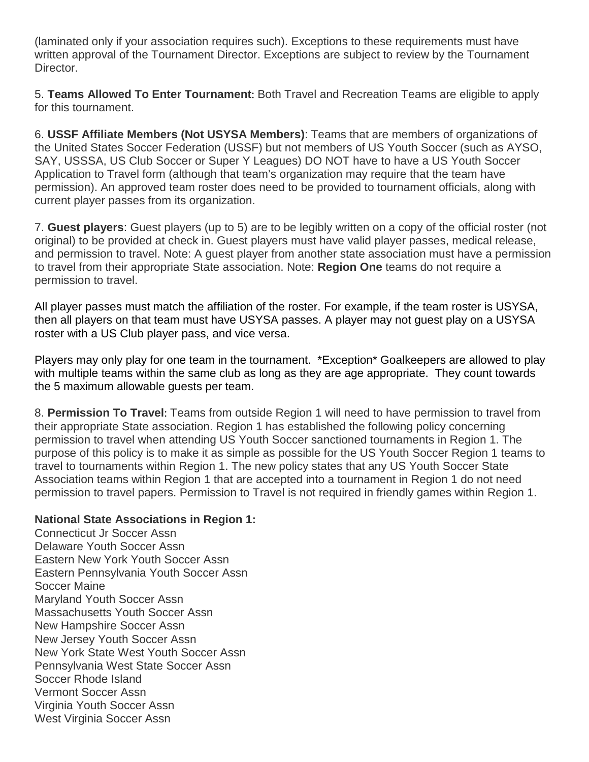(laminated only if your association requires such). Exceptions to these requirements must have written approval of the Tournament Director. Exceptions are subject to review by the Tournament Director.

5. **Teams Allowed To Enter Tournament**: Both Travel and Recreation Teams are eligible to apply for this tournament.

6. **USSF Affiliate Members (Not USYSA Members)**: Teams that are members of organizations of the United States Soccer Federation (USSF) but not members of US Youth Soccer (such as AYSO, SAY, USSSA, US Club Soccer or Super Y Leagues) DO NOT have to have a US Youth Soccer Application to Travel form (although that team's organization may require that the team have permission). An approved team roster does need to be provided to tournament officials, along with current player passes from its organization.

7. **Guest players**: Guest players (up to 5) are to be legibly written on a copy of the official roster (not original) to be provided at check in. Guest players must have valid player passes, medical release, and permission to travel. Note: A guest player from another state association must have a permission to travel from their appropriate State association. Note: **Region One** teams do not require a permission to travel.

All player passes must match the affiliation of the roster. For example, if the team roster is USYSA, then all players on that team must have USYSA passes. A player may not guest play on a USYSA roster with a US Club player pass, and vice versa.

Players may only play for one team in the tournament. \*Exception\* Goalkeepers are allowed to play with multiple teams within the same club as long as they are age appropriate. They count towards the 5 maximum allowable guests per team.

8. **Permission To Travel**: Teams from outside Region 1 will need to have permission to travel from their appropriate State association. Region 1 has established the following policy concerning permission to travel when attending US Youth Soccer sanctioned tournaments in Region 1. The purpose of this policy is to make it as simple as possible for the US Youth Soccer Region 1 teams to travel to tournaments within Region 1. The new policy states that any US Youth Soccer State Association teams within Region 1 that are accepted into a tournament in Region 1 do not need permission to travel papers. Permission to Travel is not required in friendly games within Region 1.

#### **National State Associations in Region 1:**

Connecticut Jr Soccer Assn Delaware Youth Soccer Assn Eastern New York Youth Soccer Assn Eastern Pennsylvania Youth Soccer Assn Soccer Maine Maryland Youth Soccer Assn Massachusetts Youth Soccer Assn New Hampshire Soccer Assn New Jersey Youth Soccer Assn New York State West Youth Soccer Assn Pennsylvania West State Soccer Assn Soccer Rhode Island Vermont Soccer Assn Virginia Youth Soccer Assn West Virginia Soccer Assn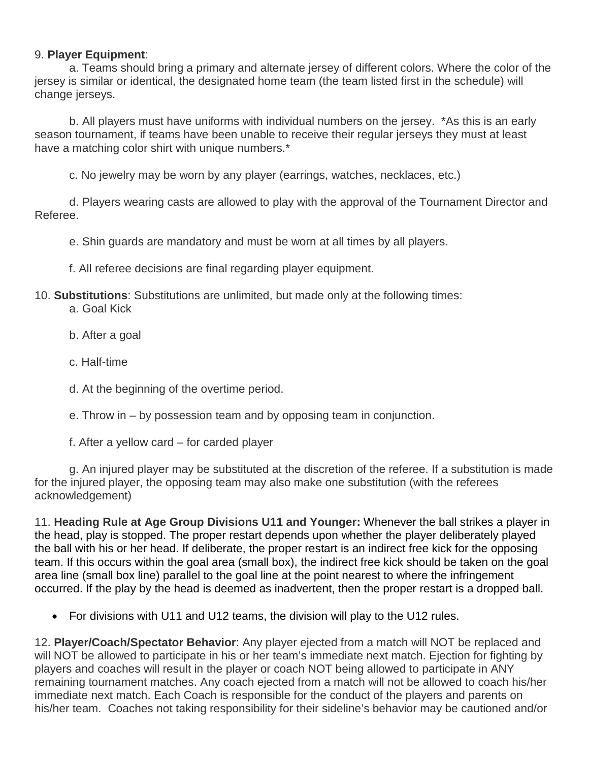#### 9. **Player Equipment**:

a. Teams should bring a primary and alternate jersey of different colors. Where the color of the jersey is similar or identical, the designated home team (the team listed first in the schedule) will change jerseys.

b. All players must have uniforms with individual numbers on the jersey. \*As this is an early season tournament, if teams have been unable to receive their regular jerseys they must at least have a matching color shirt with unique numbers.<sup>\*</sup>

c. No jewelry may be worn by any player (earrings, watches, necklaces, etc.)

d. Players wearing casts are allowed to play with the approval of the Tournament Director and Referee.

e. Shin guards are mandatory and must be worn at all times by all players.

f. All referee decisions are final regarding player equipment.

10. **Substitutions**: Substitutions are unlimited, but made only at the following times:

a. Goal Kick

- b. After a goal
- c. Half-time

d. At the beginning of the overtime period.

- e. Throw in by possession team and by opposing team in conjunction.
- f. After a yellow card for carded player

g. An injured player may be substituted at the discretion of the referee. If a substitution is made for the injured player, the opposing team may also make one substitution (with the referees acknowledgement)

11. **Heading Rule at Age Group Divisions U11 and Younger:** Whenever the ball strikes a player in the head, play is stopped. The proper restart depends upon whether the player deliberately played the ball with his or her head. If deliberate, the proper restart is an indirect free kick for the opposing team. If this occurs within the goal area (small box), the indirect free kick should be taken on the goal area line (small box line) parallel to the goal line at the point nearest to where the infringement occurred. If the play by the head is deemed as inadvertent, then the proper restart is a dropped ball.

• For divisions with U11 and U12 teams, the division will play to the U12 rules.

12. **Player/Coach/Spectator Behavior**: Any player ejected from a match will NOT be replaced and will NOT be allowed to participate in his or her team's immediate next match. Ejection for fighting by players and coaches will result in the player or coach NOT being allowed to participate in ANY remaining tournament matches. Any coach ejected from a match will not be allowed to coach his/her immediate next match. Each Coach is responsible for the conduct of the players and parents on his/her team. Coaches not taking responsibility for their sideline's behavior may be cautioned and/or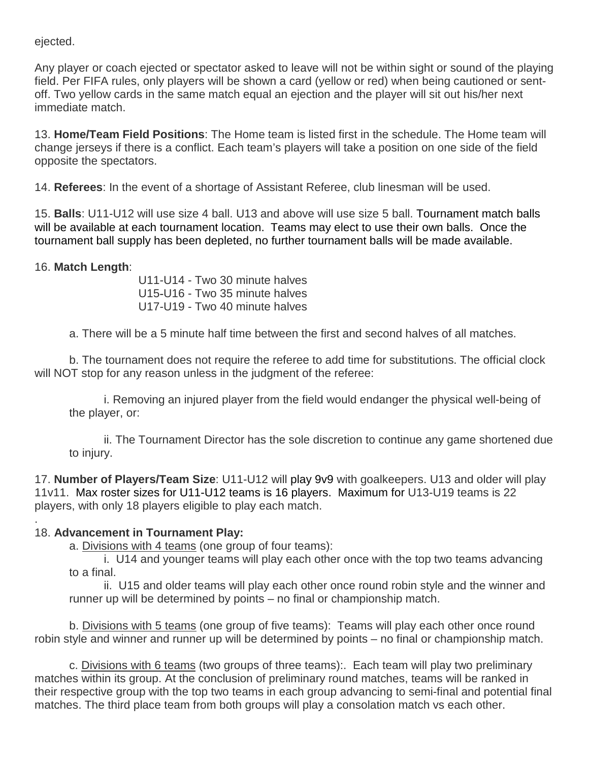ejected.

Any player or coach ejected or spectator asked to leave will not be within sight or sound of the playing field. Per FIFA rules, only players will be shown a card (yellow or red) when being cautioned or sentoff. Two yellow cards in the same match equal an ejection and the player will sit out his/her next immediate match.

13. **Home/Team Field Positions**: The Home team is listed first in the schedule. The Home team will change jerseys if there is a conflict. Each team's players will take a position on one side of the field opposite the spectators.

14. **Referees**: In the event of a shortage of Assistant Referee, club linesman will be used.

15. **Balls**: U11-U12 will use size 4 ball. U13 and above will use size 5 ball. Tournament match balls will be available at each tournament location. Teams may elect to use their own balls. Once the tournament ball supply has been depleted, no further tournament balls will be made available.

### 16. **Match Length**:

U11-U14 - Two 30 minute halves U15-U16 - Two 35 minute halves U17-U19 - Two 40 minute halves

a. There will be a 5 minute half time between the first and second halves of all matches.

b. The tournament does not require the referee to add time for substitutions. The official clock will NOT stop for any reason unless in the judgment of the referee:

i. Removing an injured player from the field would endanger the physical well-being of the player, or:

ii. The Tournament Director has the sole discretion to continue any game shortened due to injury.

17. **Number of Players/Team Size**: U11-U12 will play 9v9 with goalkeepers. U13 and older will play 11v11. Max roster sizes for U11-U12 teams is 16 players. Maximum for U13-U19 teams is 22 players, with only 18 players eligible to play each match.

#### . 18. **Advancement in Tournament Play:**

a. Divisions with 4 teams (one group of four teams):

i. U14 and younger teams will play each other once with the top two teams advancing to a final.

ii. U15 and older teams will play each other once round robin style and the winner and runner up will be determined by points – no final or championship match.

b. Divisions with 5 teams (one group of five teams): Teams will play each other once round robin style and winner and runner up will be determined by points – no final or championship match.

c. Divisions with 6 teams (two groups of three teams):. Each team will play two preliminary matches within its group. At the conclusion of preliminary round matches, teams will be ranked in their respective group with the top two teams in each group advancing to semi-final and potential final matches. The third place team from both groups will play a consolation match vs each other.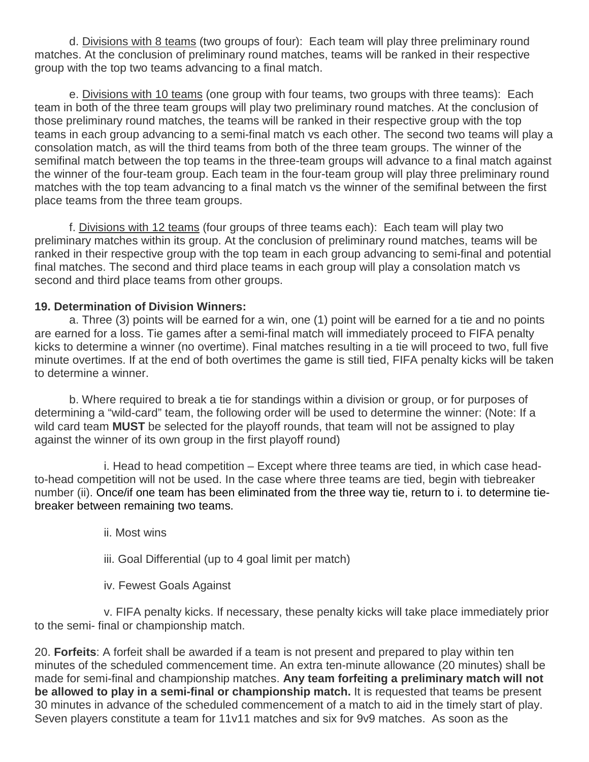d. Divisions with 8 teams (two groups of four): Each team will play three preliminary round matches. At the conclusion of preliminary round matches, teams will be ranked in their respective group with the top two teams advancing to a final match.

e. Divisions with 10 teams (one group with four teams, two groups with three teams): Each team in both of the three team groups will play two preliminary round matches. At the conclusion of those preliminary round matches, the teams will be ranked in their respective group with the top teams in each group advancing to a semi-final match vs each other. The second two teams will play a consolation match, as will the third teams from both of the three team groups. The winner of the semifinal match between the top teams in the three-team groups will advance to a final match against the winner of the four-team group. Each team in the four-team group will play three preliminary round matches with the top team advancing to a final match vs the winner of the semifinal between the first place teams from the three team groups.

f. Divisions with 12 teams (four groups of three teams each): Each team will play two preliminary matches within its group. At the conclusion of preliminary round matches, teams will be ranked in their respective group with the top team in each group advancing to semi-final and potential final matches. The second and third place teams in each group will play a consolation match vs second and third place teams from other groups.

### **19. Determination of Division Winners:**

a. Three (3) points will be earned for a win, one (1) point will be earned for a tie and no points are earned for a loss. Tie games after a semi-final match will immediately proceed to FIFA penalty kicks to determine a winner (no overtime). Final matches resulting in a tie will proceed to two, full five minute overtimes. If at the end of both overtimes the game is still tied, FIFA penalty kicks will be taken to determine a winner.

b. Where required to break a tie for standings within a division or group, or for purposes of determining a "wild-card" team, the following order will be used to determine the winner: (Note: If a wild card team **MUST** be selected for the playoff rounds, that team will not be assigned to play against the winner of its own group in the first playoff round)

i. Head to head competition – Except where three teams are tied, in which case headto-head competition will not be used. In the case where three teams are tied, begin with tiebreaker number (ii). Once/if one team has been eliminated from the three way tie, return to i. to determine tiebreaker between remaining two teams.

ii. Most wins

- iii. Goal Differential (up to 4 goal limit per match)
- iv. Fewest Goals Against

v. FIFA penalty kicks. If necessary, these penalty kicks will take place immediately prior to the semi- final or championship match.

20. **Forfeits**: A forfeit shall be awarded if a team is not present and prepared to play within ten minutes of the scheduled commencement time. An extra ten-minute allowance (20 minutes) shall be made for semi-final and championship matches. **Any team forfeiting a preliminary match will not be allowed to play in a semi-final or championship match.** It is requested that teams be present 30 minutes in advance of the scheduled commencement of a match to aid in the timely start of play. Seven players constitute a team for 11v11 matches and six for 9v9 matches. As soon as the